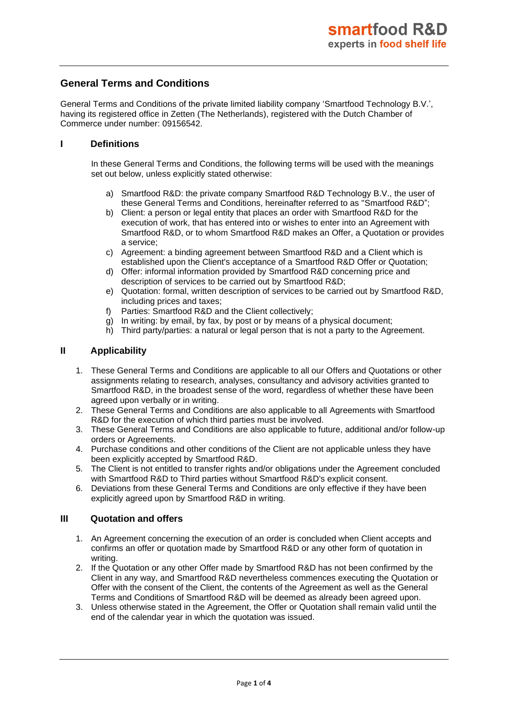# **General Terms and Conditions**

General Terms and Conditions of the private limited liability company 'Smartfood Technology B.V.', having its registered office in Zetten (The Netherlands), registered with the Dutch Chamber of Commerce under number: 09156542.

#### **I Definitions**

In these General Terms and Conditions, the following terms will be used with the meanings set out below, unless explicitly stated otherwise:

- a) Smartfood R&D: the private company Smartfood R&D Technology B.V., the user of these General Terms and Conditions, hereinafter referred to as "Smartfood R&D";
- b) Client: a person or legal entity that places an order with Smartfood R&D for the execution of work, that has entered into or wishes to enter into an Agreement with Smartfood R&D, or to whom Smartfood R&D makes an Offer, a Quotation or provides a service;
- c) Agreement: a binding agreement between Smartfood R&D and a Client which is established upon the Client's acceptance of a Smartfood R&D Offer or Quotation;
- d) Offer: informal information provided by Smartfood R&D concerning price and description of services to be carried out by Smartfood R&D;
- e) Quotation: formal, written description of services to be carried out by Smartfood R&D, including prices and taxes;
- f) Parties: Smartfood R&D and the Client collectively;
- g) In writing: by email, by fax, by post or by means of a physical document;
- h) Third party/parties: a natural or legal person that is not a party to the Agreement.

### **II Applicability**

- 1. These General Terms and Conditions are applicable to all our Offers and Quotations or other assignments relating to research, analyses, consultancy and advisory activities granted to Smartfood R&D, in the broadest sense of the word, regardless of whether these have been agreed upon verbally or in writing.
- 2. These General Terms and Conditions are also applicable to all Agreements with Smartfood R&D for the execution of which third parties must be involved.
- 3. These General Terms and Conditions are also applicable to future, additional and/or follow-up orders or Agreements.
- 4. Purchase conditions and other conditions of the Client are not applicable unless they have been explicitly accepted by Smartfood R&D.
- 5. The Client is not entitled to transfer rights and/or obligations under the Agreement concluded with Smartfood R&D to Third parties without Smartfood R&D's explicit consent.
- 6. Deviations from these General Terms and Conditions are only effective if they have been explicitly agreed upon by Smartfood R&D in writing.

### **III Quotation and offers**

- 1. An Agreement concerning the execution of an order is concluded when Client accepts and confirms an offer or quotation made by Smartfood R&D or any other form of quotation in writing.
- 2. If the Quotation or any other Offer made by Smartfood R&D has not been confirmed by the Client in any way, and Smartfood R&D nevertheless commences executing the Quotation or Offer with the consent of the Client, the contents of the Agreement as well as the General Terms and Conditions of Smartfood R&D will be deemed as already been agreed upon.
- 3. Unless otherwise stated in the Agreement, the Offer or Quotation shall remain valid until the end of the calendar year in which the quotation was issued.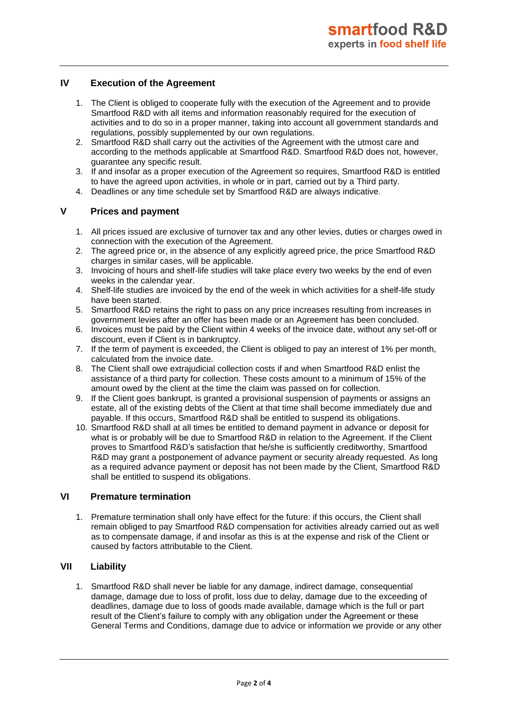# **IV Execution of the Agreement**

- 1. The Client is obliged to cooperate fully with the execution of the Agreement and to provide Smartfood R&D with all items and information reasonably required for the execution of activities and to do so in a proper manner, taking into account all government standards and regulations, possibly supplemented by our own regulations.
- 2. Smartfood R&D shall carry out the activities of the Agreement with the utmost care and according to the methods applicable at Smartfood R&D. Smartfood R&D does not, however, guarantee any specific result.
- 3. If and insofar as a proper execution of the Agreement so requires, Smartfood R&D is entitled to have the agreed upon activities, in whole or in part, carried out by a Third party.
- 4. Deadlines or any time schedule set by Smartfood R&D are always indicative.

## **V Prices and payment**

- 1. All prices issued are exclusive of turnover tax and any other levies, duties or charges owed in connection with the execution of the Agreement.
- 2. The agreed price or, in the absence of any explicitly agreed price, the price Smartfood R&D charges in similar cases, will be applicable.
- 3. Invoicing of hours and shelf-life studies will take place every two weeks by the end of even weeks in the calendar year.
- 4. Shelf-life studies are invoiced by the end of the week in which activities for a shelf-life study have been started.
- 5. Smartfood R&D retains the right to pass on any price increases resulting from increases in government levies after an offer has been made or an Agreement has been concluded.
- 6. Invoices must be paid by the Client within 4 weeks of the invoice date, without any set-off or discount, even if Client is in bankruptcy.
- 7. If the term of payment is exceeded, the Client is obliged to pay an interest of 1% per month, calculated from the invoice date.
- 8. The Client shall owe extrajudicial collection costs if and when Smartfood R&D enlist the assistance of a third party for collection. These costs amount to a minimum of 15% of the amount owed by the client at the time the claim was passed on for collection.
- 9. If the Client goes bankrupt, is granted a provisional suspension of payments or assigns an estate, all of the existing debts of the Client at that time shall become immediately due and payable. If this occurs, Smartfood R&D shall be entitled to suspend its obligations.
- 10. Smartfood R&D shall at all times be entitled to demand payment in advance or deposit for what is or probably will be due to Smartfood R&D in relation to the Agreement. If the Client proves to Smartfood R&D's satisfaction that he/she is sufficiently creditworthy, Smartfood R&D may grant a postponement of advance payment or security already requested. As long as a required advance payment or deposit has not been made by the Client, Smartfood R&D shall be entitled to suspend its obligations.

# **VI Premature termination**

1. Premature termination shall only have effect for the future: if this occurs, the Client shall remain obliged to pay Smartfood R&D compensation for activities already carried out as well as to compensate damage, if and insofar as this is at the expense and risk of the Client or caused by factors attributable to the Client.

# **VII Liability**

1. Smartfood R&D shall never be liable for any damage, indirect damage, consequential damage, damage due to loss of profit, loss due to delay, damage due to the exceeding of deadlines, damage due to loss of goods made available, damage which is the full or part result of the Client's failure to comply with any obligation under the Agreement or these General Terms and Conditions, damage due to advice or information we provide or any other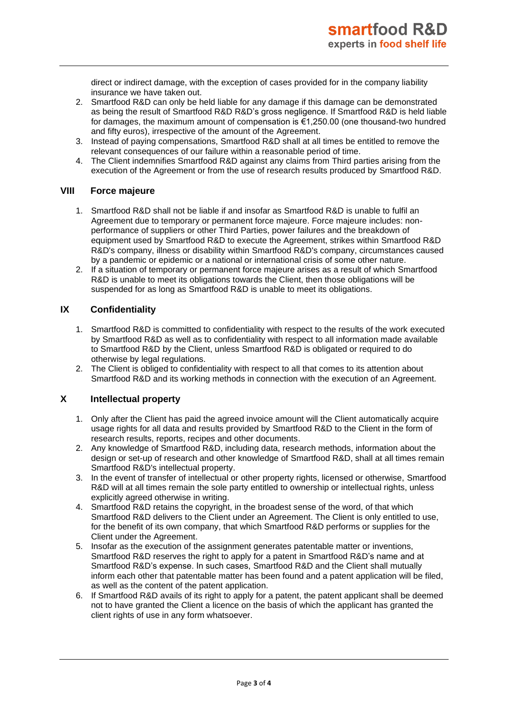direct or indirect damage, with the exception of cases provided for in the company liability insurance we have taken out.

- 2. Smartfood R&D can only be held liable for any damage if this damage can be demonstrated as being the result of Smartfood R&D R&D's gross negligence. If Smartfood R&D is held liable for damages, the maximum amount of compensation is €1,250.00 (one thousand-two hundred and fifty euros), irrespective of the amount of the Agreement.
- 3. Instead of paying compensations, Smartfood R&D shall at all times be entitled to remove the relevant consequences of our failure within a reasonable period of time.
- 4. The Client indemnifies Smartfood R&D against any claims from Third parties arising from the execution of the Agreement or from the use of research results produced by Smartfood R&D.

### **VIII Force majeure**

- 1. Smartfood R&D shall not be liable if and insofar as Smartfood R&D is unable to fulfil an Agreement due to temporary or permanent force majeure. Force majeure includes: nonperformance of suppliers or other Third Parties, power failures and the breakdown of equipment used by Smartfood R&D to execute the Agreement, strikes within Smartfood R&D R&D's company, illness or disability within Smartfood R&D's company, circumstances caused by a pandemic or epidemic or a national or international crisis of some other nature.
- 2. If a situation of temporary or permanent force majeure arises as a result of which Smartfood R&D is unable to meet its obligations towards the Client, then those obligations will be suspended for as long as Smartfood R&D is unable to meet its obligations.

### **IX Confidentiality**

- 1. Smartfood R&D is committed to confidentiality with respect to the results of the work executed by Smartfood R&D as well as to confidentiality with respect to all information made available to Smartfood R&D by the Client, unless Smartfood R&D is obligated or required to do otherwise by legal regulations.
- 2. The Client is obliged to confidentiality with respect to all that comes to its attention about Smartfood R&D and its working methods in connection with the execution of an Agreement.

# **X Intellectual property**

- 1. Only after the Client has paid the agreed invoice amount will the Client automatically acquire usage rights for all data and results provided by Smartfood R&D to the Client in the form of research results, reports, recipes and other documents.
- 2. Any knowledge of Smartfood R&D, including data, research methods, information about the design or set-up of research and other knowledge of Smartfood R&D, shall at all times remain Smartfood R&D's intellectual property.
- 3. In the event of transfer of intellectual or other property rights, licensed or otherwise, Smartfood R&D will at all times remain the sole party entitled to ownership or intellectual rights, unless explicitly agreed otherwise in writing.
- 4. Smartfood R&D retains the copyright, in the broadest sense of the word, of that which Smartfood R&D delivers to the Client under an Agreement. The Client is only entitled to use, for the benefit of its own company, that which Smartfood R&D performs or supplies for the Client under the Agreement.
- 5. Insofar as the execution of the assignment generates patentable matter or inventions, Smartfood R&D reserves the right to apply for a patent in Smartfood R&D's name and at Smartfood R&D's expense. In such cases, Smartfood R&D and the Client shall mutually inform each other that patentable matter has been found and a patent application will be filed, as well as the content of the patent application.
- 6. If Smartfood R&D avails of its right to apply for a patent, the patent applicant shall be deemed not to have granted the Client a licence on the basis of which the applicant has granted the client rights of use in any form whatsoever.